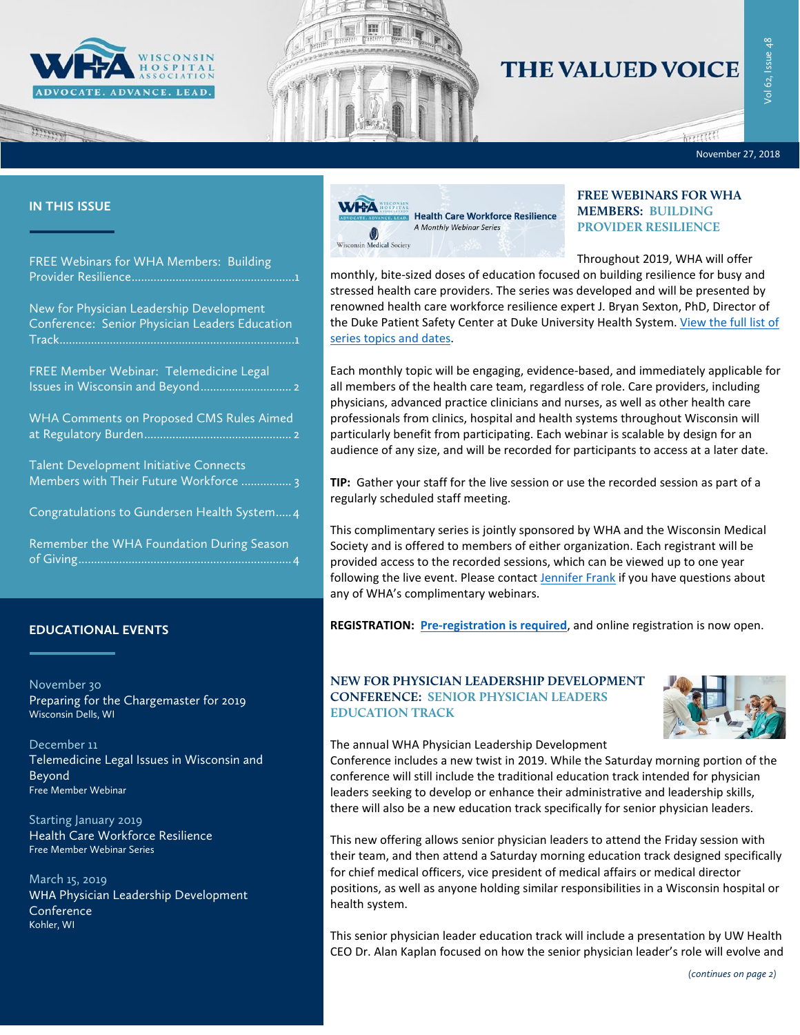



# **THE VALUED VOICE**

November 27, 2018

 $km$ 

#### **IN THIS ISSUE**

marco

| <b>FREE Webinars for WHA Members: Building</b> |  |
|------------------------------------------------|--|
|                                                |  |

[New for Physician Leadership Development](#page-0-1)  [Conference: Senior Physician Leaders Education](#page-0-1)  [Track...........................................................................1](#page-0-1)

| FREE Member Webinar: Telemedicine Legal |  |
|-----------------------------------------|--|
|                                         |  |

[WHA Comments on Proposed CMS Rules Aimed](#page-1-1)  [at Regulatory Burden...............................................](#page-1-1) 2

[Talent Development Initiative Connects](#page-2-0)  [Members with Their Future Workforce](#page-2-0) ................ 3

[Congratulations to Gundersen Health System.....4](#page-3-0)

[Remember the WHA Foundation During Season](#page-3-1)  [of Giving....................................................................4](#page-3-1)

# **EDUCATIONAL EVENTS**

November 30 [Preparing for the Chargemaster for 2019](http://www.cvent.com/events/18l-chargemaster-1130/event-summary-52377b96df1f4e7e85f296ae5dbc59db.aspx) [Wisconsin Dells, WI](http://www.cvent.com/events/18l-chargemaster-1130/event-summary-52377b96df1f4e7e85f296ae5dbc59db.aspx)

[December 11](http://www.whareg4.org/Telemed1211/) [Telemedicine Legal Issues in Wisconsin and](http://www.whareg4.org/Telemed1211/)  [Beyond](http://www.whareg4.org/Telemed1211/) [Free Member Webinar](http://www.whareg4.org/Telemed1211/)

Starting January 2019 [Health Care Workforce Resilience](http://www.whareg4.org/workforceresilience/Home.aspx) [Free Member Webinar](http://www.whareg4.org/workforceresilience/Home.aspx) Series

March 15, 2019 WHA [Physician Leadership Development](http://www.cvent.com/events/19l-pldc-03-15-16/event-summary-cce6c95196974bcc87660b15b6e87c43.aspx)  **[Conference](http://www.cvent.com/events/19l-pldc-03-15-16/event-summary-cce6c95196974bcc87660b15b6e87c43.aspx)** Kohler, WI



# <span id="page-0-0"></span>**FREE WEBINARS FOR WHA MEMBERS: BUILDING PROVIDER RESILIENCE**

Throughout 2019, WHA will offer

monthly, bite-sized doses of education focused on building resilience for busy and stressed health care providers. The series was developed and will be presented by renowned health care workforce resilience expert J. Bryan Sexton, PhD, Director of the Duke Patient Safety Center at Duke University Health System. View the full list of [series topics and dates.](http://www.whareg4.org/workforceresilience/)

Each monthly topic will be engaging, evidence-based, and immediately applicable for all members of the health care team, regardless of role. Care providers, including physicians, advanced practice clinicians and nurses, as well as other health care professionals from clinics, hospital and health systems throughout Wisconsin will particularly benefit from participating. Each webinar is scalable by design for an audience of any size, and will be recorded for participants to access at a later date.

**TIP:** Gather your staff for the live session or use the recorded session as part of a regularly scheduled staff meeting.

This complimentary series is jointly sponsored by WHA and the Wisconsin Medical Society and is offered to members of either organization. Each registrant will be provided access to the recorded sessions, which can be viewed up to one year following the live event. Please contact [Jennifer Frank](mailto:jfrank@wha.org) if you have questions about any of WHA's complimentary webinars.

**REGISTRATION: [Pre-registration is required](http://www.whareg4.org/workforceresilience/)**, and online registration is now open.

## <span id="page-0-1"></span>**NEW FOR PHYSICIAN LEADERSHIP DEVELOPMENT CONFERENCE: SENIOR PHYSICIAN LEADERS EDUCATION TRACK**



#### The annual WHA Physician Leadership Development

Conference includes a new twist in 2019. While the Saturday morning portion of the conference will still include the traditional education track intended for physician leaders seeking to develop or enhance their administrative and leadership skills, there will also be a new education track specifically for senior physician leaders.

This new offering allows senior physician leaders to attend the Friday session with their team, and then attend a Saturday morning education track designed specifically for chief medical officers, vice president of medical affairs or medical director positions, as well as anyone holding similar responsibilities in a Wisconsin hospital or health system.

This senior physician leader education track will include a presentation by UW Health CEO Dr. Alan Kaplan focused on how the senior physician leader's role will evolve and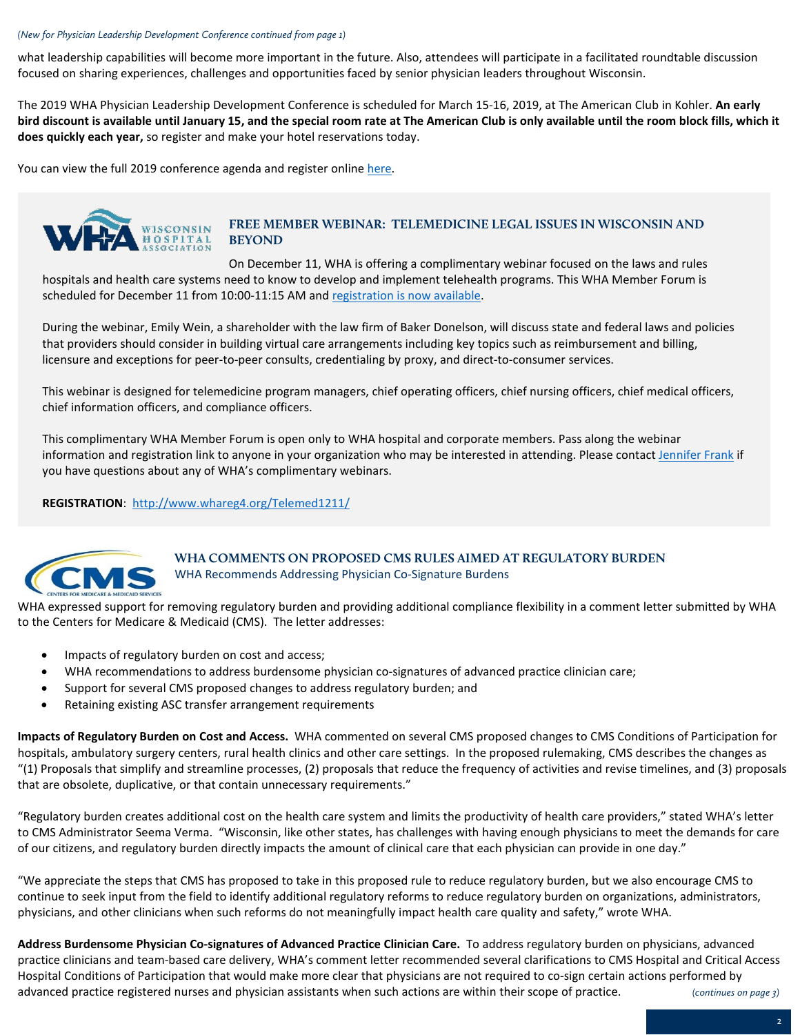#### *(New for Physician Leadership Development Conference continued from page 1)*

what leadership capabilities will become more important in the future. Also, attendees will participate in a facilitated roundtable discussion focused on sharing experiences, challenges and opportunities faced by senior physician leaders throughout Wisconsin.

The 2019 WHA Physician Leadership Development Conference is scheduled for March 15-16, 2019, at The American Club in Kohler. **An early bird discount is available until January 15, and the special room rate at The American Club is only available until the room block fills, which it does quickly each year,** so register and make your hotel reservations today.

You can view the full 2019 conference agenda and register online [here.](http://www.cvent.com/events/19l-pldc-03-15-16/event-summary-cce6c95196974bcc87660b15b6e87c43.aspx)



### <span id="page-1-0"></span>**FREE MEMBER WEBINAR: TELEMEDICINE LEGAL ISSUES IN WISCONSIN AND BEYOND**

On December 11, WHA is offering a complimentary webinar focused on the laws and rules hospitals and health care systems need to know to develop and implement telehealth programs. This WHA Member Forum is scheduled for December 11 from 10:00-11:15 AM an[d registration is now available.](http://www.whareg4.org/Telemed1211/) 

During the webinar, Emily Wein, a shareholder with the law firm of Baker Donelson, will discuss state and federal laws and policies that providers should consider in building virtual care arrangements including key topics such as reimbursement and billing, licensure and exceptions for peer-to-peer consults, credentialing by proxy, and direct-to-consumer services.

This webinar is designed for telemedicine program managers, chief operating officers, chief nursing officers, chief medical officers, chief information officers, and compliance officers.

This complimentary WHA Member Forum is open only to WHA hospital and corporate members. Pass along the webinar information and registration link to anyone in your organization who may be interested in attending. Please contac[t Jennifer Frank](mailto:jfrank@wha.org) if you have questions about any of WHA's complimentary webinars.

**REGISTRATION**:<http://www.whareg4.org/Telemed1211/>



# <span id="page-1-1"></span>**WHA COMMENTS ON PROPOSED CMS RULES AIMED AT REGULATORY BURDEN** WHA Recommends Addressing Physician Co-Signature Burdens

WHA expressed support for removing regulatory burden and providing additional compliance flexibility in a comment letter submitted by WHA to the Centers for Medicare & Medicaid (CMS). The letter addresses:

- Impacts of regulatory burden on cost and access;
- WHA recommendations to address burdensome physician co-signatures of advanced practice clinician care;
- Support for several CMS proposed changes to address regulatory burden; and
- Retaining existing ASC transfer arrangement requirements

**Impacts of Regulatory Burden on Cost and Access.** WHA commented on several CMS proposed changes to CMS Conditions of Participation for hospitals, ambulatory surgery centers, rural health clinics and other care settings. In the proposed rulemaking, CMS describes the changes as "(1) Proposals that simplify and streamline processes, (2) proposals that reduce the frequency of activities and revise timelines, and (3) proposals that are obsolete, duplicative, or that contain unnecessary requirements."

"Regulatory burden creates additional cost on the health care system and limits the productivity of health care providers," stated WHA's letter to CMS Administrator Seema Verma. "Wisconsin, like other states, has challenges with having enough physicians to meet the demands for care of our citizens, and regulatory burden directly impacts the amount of clinical care that each physician can provide in one day."

"We appreciate the steps that CMS has proposed to take in this proposed rule to reduce regulatory burden, but we also encourage CMS to continue to seek input from the field to identify additional regulatory reforms to reduce regulatory burden on organizations, administrators, physicians, and other clinicians when such reforms do not meaningfully impact health care quality and safety," wrote WHA.

**Address Burdensome Physician Co-signatures of Advanced Practice Clinician Care.** To address regulatory burden on physicians, advanced practice clinicians and team-based care delivery, WHA's comment letter recommended several clarifications to CMS Hospital and Critical Access Hospital Conditions of Participation that would make more clear that physicians are not required to co-sign certain actions performed by advanced practice registered nurses and physician assistants when such actions are within their scope of practice. *(continues on page 3)*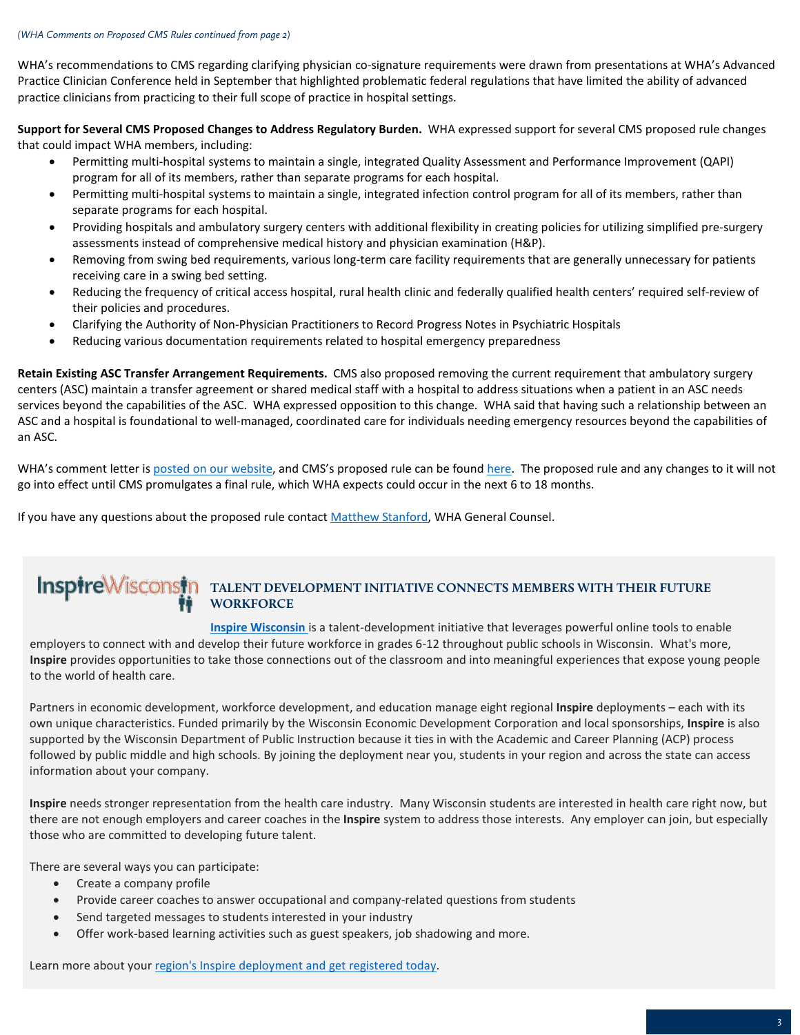WHA's recommendations to CMS regarding clarifying physician co-signature requirements were drawn from presentations at WHA's Advanced Practice Clinician Conference held in September that highlighted problematic federal regulations that have limited the ability of advanced practice clinicians from practicing to their full scope of practice in hospital settings.

**Support for Several CMS Proposed Changes to Address Regulatory Burden.** WHA expressed support for several CMS proposed rule changes that could impact WHA members, including:

- Permitting multi-hospital systems to maintain a single, integrated Quality Assessment and Performance Improvement (QAPI) program for all of its members, rather than separate programs for each hospital.
- Permitting multi-hospital systems to maintain a single, integrated infection control program for all of its members, rather than separate programs for each hospital.
- Providing hospitals and ambulatory surgery centers with additional flexibility in creating policies for utilizing simplified pre-surgery assessments instead of comprehensive medical history and physician examination (H&P).
- Removing from swing bed requirements, various long-term care facility requirements that are generally unnecessary for patients receiving care in a swing bed setting.
- Reducing the frequency of critical access hospital, rural health clinic and federally qualified health centers' required self-review of their policies and procedures.
- Clarifying the Authority of Non-Physician Practitioners to Record Progress Notes in Psychiatric Hospitals
- Reducing various documentation requirements related to hospital emergency preparedness

**Retain Existing ASC Transfer Arrangement Requirements.** CMS also proposed removing the current requirement that ambulatory surgery centers (ASC) maintain a transfer agreement or shared medical staff with a hospital to address situations when a patient in an ASC needs services beyond the capabilities of the ASC. WHA expressed opposition to this change. WHA said that having such a relationship between an ASC and a hospital is foundational to well-managed, coordinated care for individuals needing emergency resources beyond the capabilities of an ASC.

WHA's comment letter i[s posted on our website,](https://www.wha.org/WisconsinHospitalAssociation/media/WHACommon/CommentLetters/2018WHA-CommentLetter-Omnibus-Regulatory-Burden-Proposed-Rule11-19.pdf) and CMS's proposed rule can be found [here.](https://www.gpo.gov/fdsys/pkg/FR-2018-09-20/pdf/2018-19599.pdf) The proposed rule and any changes to it will not go into effect until CMS promulgates a final rule, which WHA expects could occur in the next 6 to 18 months.

If you have any questions about the proposed rule contact [Matthew Stanford,](mailto:mstanford@wha.org) WHA General Counsel.

# <span id="page-2-0"></span>**TALENT DEVELOPMENT INITIATIVE CONNECTS MEMBERS WITH THEIR FUTURE WORKFORCE**

**Inspire [Wisconsin](https://www.inspirewisconsin.org/)** is a talent-development initiative that leverages powerful online tools to enable employers to connect with and develop their future workforce in grades 6-12 throughout public schools in Wisconsin. What's more, **Inspire** provides opportunities to take those connections out of the classroom and into meaningful experiences that expose young people to the world of health care.

Partners in economic development, workforce development, and education manage eight regional **Inspire** deployments – each with its own unique characteristics. Funded primarily by the Wisconsin Economic Development Corporation and local sponsorships, **Inspire** is also supported by the Wisconsin Department of Public Instruction because it ties in with the Academic and Career Planning (ACP) process followed by public middle and high schools. By joining the deployment near you, students in your region and across the state can access information about your company.

**Inspire** needs stronger representation from the health care industry. Many Wisconsin students are interested in health care right now, but there are not enough employers and career coaches in the **Inspire** system to address those interests. Any employer can join, but especially those who are committed to developing future talent.

There are several ways you can participate:

- Create a company profile
- Provide career coaches to answer occupational and company-related questions from students
- Send targeted messages to students interested in your industry
- Offer work-based learning activities such as guest speakers, job shadowing and more.

Learn more about you[r region's Inspire deployment and get registered today.](https://www.inspirewisconsin.org/)